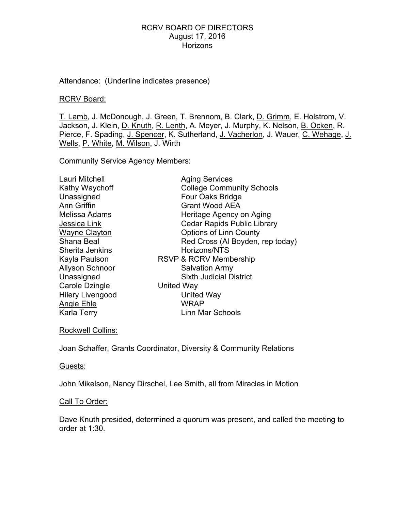Attendance: (Underline indicates presence)

#### RCRV Board:

T. Lamb, J. McDonough, J. Green, T. Brennom, B. Clark, D. Grimm, E. Holstrom, V. Jackson, J. Klein, D. Knuth, R. Lenth, A. Meyer, J. Murphy, K. Nelson, B. Ocken, R. Pierce, F. Spading, J. Spencer, K. Sutherland, J. Vacherlon, J. Wauer, C. Wehage, J. Wells, P. White, M. Wilson, J. Wirth

Community Service Agency Members:

| Lauri Mitchell               | <b>Aging Services</b>              |
|------------------------------|------------------------------------|
| Kathy Waychoff               | <b>College Community Schools</b>   |
| Unassigned                   | Four Oaks Bridge                   |
| Ann Griffin                  | <b>Grant Wood AEA</b>              |
| Melissa Adams                | Heritage Agency on Aging           |
| Jessica Link                 | <b>Cedar Rapids Public Library</b> |
| <b>Wayne Clayton</b>         | <b>Options of Linn County</b>      |
| Shana Beal                   | Red Cross (Al Boyden, rep today)   |
| Sherita Jenkins              | Horizons/NTS                       |
| Kayla Paulson                | RSVP & RCRV Membership             |
| <b>Allyson Schnoor</b>       | <b>Salvation Army</b>              |
| Unassigned                   | <b>Sixth Judicial District</b>     |
| Carole Dzingle<br>United Way |                                    |
| <b>Hilery Livengood</b>      | United Way                         |
| Angie Ehle                   | <b>WRAP</b>                        |
| Karla Terry                  | Linn Mar Schools                   |

Rockwell Collins:

Joan Schaffer, Grants Coordinator, Diversity & Community Relations

Guests:

John Mikelson, Nancy Dirschel, Lee Smith, all from Miracles in Motion

# Call To Order:

Dave Knuth presided, determined a quorum was present, and called the meeting to order at 1:30.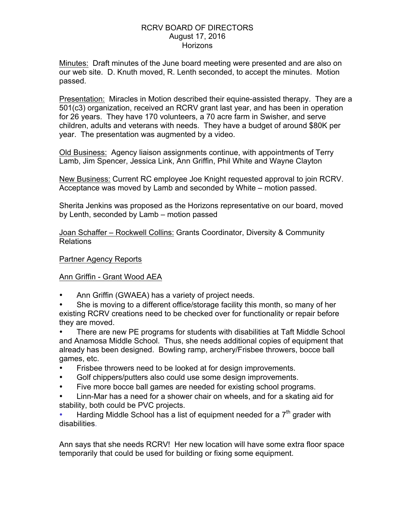Minutes: Draft minutes of the June board meeting were presented and are also on our web site. D. Knuth moved, R. Lenth seconded, to accept the minutes. Motion passed.

Presentation: Miracles in Motion described their equine-assisted therapy. They are a 501(c3) organization, received an RCRV grant last year, and has been in operation for 26 years. They have 170 volunteers, a 70 acre farm in Swisher, and serve children, adults and veterans with needs. They have a budget of around \$80K per year. The presentation was augmented by a video.

Old Business: Agency liaison assignments continue, with appointments of Terry Lamb, Jim Spencer, Jessica Link, Ann Griffin, Phil White and Wayne Clayton

New Business: Current RC employee Joe Knight requested approval to join RCRV. Acceptance was moved by Lamb and seconded by White – motion passed.

Sherita Jenkins was proposed as the Horizons representative on our board, moved by Lenth, seconded by Lamb – motion passed

Joan Schaffer – Rockwell Collins: Grants Coordinator, Diversity & Community Relations

# Partner Agency Reports

# Ann Griffin - Grant Wood AEA

- Ann Griffin (GWAEA) has a variety of project needs.
- She is moving to a different office/storage facility this month, so many of her existing RCRV creations need to be checked over for functionality or repair before they are moved.

• There are new PE programs for students with disabilities at Taft Middle School and Anamosa Middle School. Thus, she needs additional copies of equipment that already has been designed. Bowling ramp, archery/Frisbee throwers, bocce ball games, etc.

- Frisbee throwers need to be looked at for design improvements.
- Golf chippers/putters also could use some design improvements.
- Five more bocce ball games are needed for existing school programs.

• Linn-Mar has a need for a shower chair on wheels, and for a skating aid for stability, both could be PVC projects.

Harding Middle School has a list of equipment needed for a  $7<sup>th</sup>$  grader with disabilities.

Ann says that she needs RCRV! Her new location will have some extra floor space temporarily that could be used for building or fixing some equipment.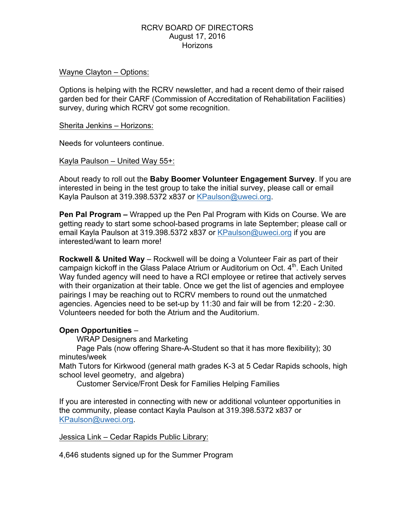#### Wayne Clayton – Options:

Options is helping with the RCRV newsletter, and had a recent demo of their raised garden bed for their CARF (Commission of Accreditation of Rehabilitation Facilities) survey, during which RCRV got some recognition.

#### Sherita Jenkins – Horizons:

Needs for volunteers continue.

Kayla Paulson – United Way 55+:

About ready to roll out the **Baby Boomer Volunteer Engagement Survey**. If you are interested in being in the test group to take the initial survey, please call or email Kayla Paulson at 319.398.5372 x837 or KPaulson@uweci.org.

**Pen Pal Program –** Wrapped up the Pen Pal Program with Kids on Course. We are getting ready to start some school-based programs in late September; please call or email Kayla Paulson at 319.398.5372 x837 or KPaulson@uweci.org if you are interested/want to learn more!

**Rockwell & United Way** – Rockwell will be doing a Volunteer Fair as part of their campaign kickoff in the Glass Palace Atrium or Auditorium on Oct. 4<sup>th</sup>. Each United Way funded agency will need to have a RCI employee or retiree that actively serves with their organization at their table. Once we get the list of agencies and employee pairings I may be reaching out to RCRV members to round out the unmatched agencies. Agencies need to be set-up by 11:30 and fair will be from 12:20 - 2:30. Volunteers needed for both the Atrium and the Auditorium.

# **Open Opportunities** –

WRAP Designers and Marketing

Page Pals (now offering Share-A-Student so that it has more flexibility); 30 minutes/week

Math Tutors for Kirkwood (general math grades K-3 at 5 Cedar Rapids schools, high school level geometry, and algebra)

Customer Service/Front Desk for Families Helping Families

If you are interested in connecting with new or additional volunteer opportunities in the community, please contact Kayla Paulson at 319.398.5372 x837 or KPaulson@uweci.org.

Jessica Link – Cedar Rapids Public Library:

4,646 students signed up for the Summer Program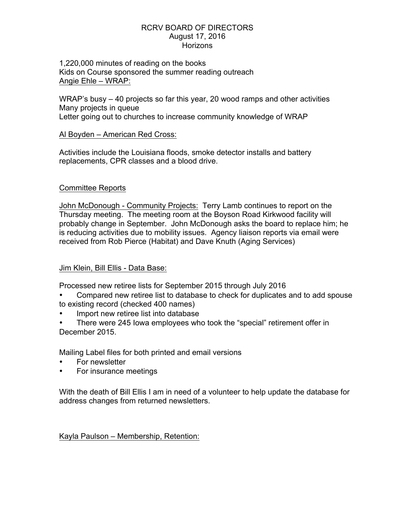1,220,000 minutes of reading on the books Kids on Course sponsored the summer reading outreach Angie Ehle – WRAP:

WRAP's busy – 40 projects so far this year, 20 wood ramps and other activities Many projects in queue Letter going out to churches to increase community knowledge of WRAP

#### Al Boyden – American Red Cross:

Activities include the Louisiana floods, smoke detector installs and battery replacements, CPR classes and a blood drive.

# Committee Reports

John McDonough - Community Projects: Terry Lamb continues to report on the Thursday meeting. The meeting room at the Boyson Road Kirkwood facility will probably change in September. John McDonough asks the board to replace him; he is reducing activities due to mobility issues. Agency liaison reports via email were received from Rob Pierce (Habitat) and Dave Knuth (Aging Services)

# Jim Klein, Bill Ellis - Data Base:

Processed new retiree lists for September 2015 through July 2016

- Compared new retiree list to database to check for duplicates and to add spouse to existing record (checked 400 names)
- Import new retiree list into database
- There were 245 Iowa employees who took the "special" retirement offer in December 2015.

Mailing Label files for both printed and email versions

- For newsletter
- For insurance meetings

With the death of Bill Ellis I am in need of a volunteer to help update the database for address changes from returned newsletters.

Kayla Paulson – Membership, Retention: